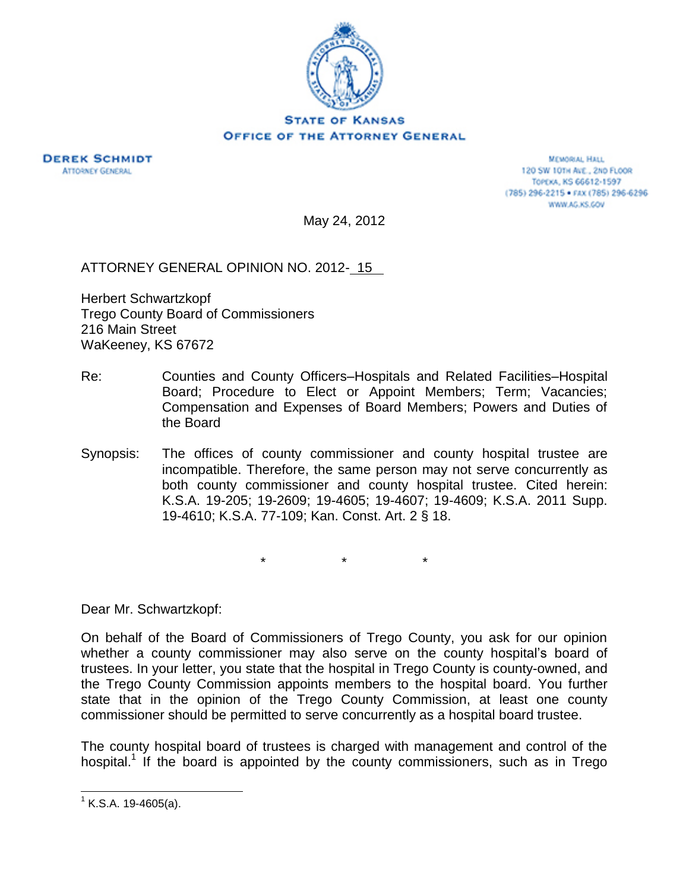

## **STATE OF KANSAS OFFICE OF THE ATTORNEY GENERAL**



**MEMORIAL HALL** 120 SW 101H AVE., 2ND FLOOR Торска, KS 66612-1597 (785) 296-2215 · FAX (785) 296-6296 WWW.AG.KS.GOV

May 24, 2012

ATTORNEY GENERAL OPINION NO. 2012- 15

Herbert Schwartzkopf Trego County Board of Commissioners 216 Main Street WaKeeney, KS 67672

- Re: Counties and County Officers–Hospitals and Related Facilities–Hospital Board; Procedure to Elect or Appoint Members; Term; Vacancies; Compensation and Expenses of Board Members; Powers and Duties of the Board
- Synopsis: The offices of county commissioner and county hospital trustee are incompatible. Therefore, the same person may not serve concurrently as both county commissioner and county hospital trustee. Cited herein: K.S.A. 19-205; 19-2609; 19-4605; 19-4607; 19-4609; K.S.A. 2011 Supp. 19-4610; K.S.A. 77-109; Kan. Const. Art. 2 § 18.

\* \* \*

Dear Mr. Schwartzkopf:

On behalf of the Board of Commissioners of Trego County, you ask for our opinion whether a county commissioner may also serve on the county hospital's board of trustees. In your letter, you state that the hospital in Trego County is county-owned, and the Trego County Commission appoints members to the hospital board. You further state that in the opinion of the Trego County Commission, at least one county commissioner should be permitted to serve concurrently as a hospital board trustee.

The county hospital board of trustees is charged with management and control of the hospital.<sup>1</sup> If the board is appointed by the county commissioners, such as in Trego

 $1$  K.S.A. 19-4605(a).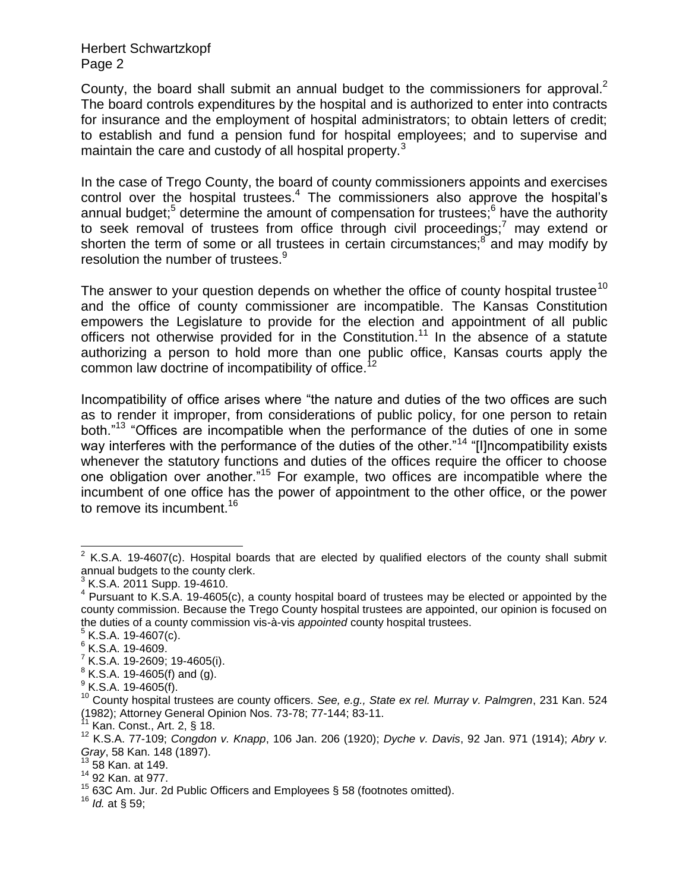County, the board shall submit an annual budget to the commissioners for approval.<sup>2</sup> The board controls expenditures by the hospital and is authorized to enter into contracts for insurance and the employment of hospital administrators; to obtain letters of credit; to establish and fund a pension fund for hospital employees; and to supervise and maintain the care and custody of all hospital property. $3$ 

In the case of Trego County, the board of county commissioners appoints and exercises control over the hospital trustees.<sup>4</sup> The commissioners also approve the hospital's annual budget;<sup>5</sup> determine the amount of compensation for trustees;<sup>6</sup> have the authority to seek removal of trustees from office through civil proceedings;<sup>7</sup> may extend or shorten the term of some or all trustees in certain circumstances;<sup>8</sup> and may modify by resolution the number of trustees.<sup>9</sup>

The answer to your question depends on whether the office of county hospital trustee<sup>10</sup> and the office of county commissioner are incompatible. The Kansas Constitution empowers the Legislature to provide for the election and appointment of all public officers not otherwise provided for in the Constitution.<sup>11</sup> In the absence of a statute authorizing a person to hold more than one public office, Kansas courts apply the common law doctrine of incompatibility of office.<sup>1</sup>

Incompatibility of office arises where "the nature and duties of the two offices are such as to render it improper, from considerations of public policy, for one person to retain both."<sup>13</sup> "Offices are incompatible when the performance of the duties of one in some way interferes with the performance of the duties of the other."<sup>14</sup> "[I]ncompatibility exists whenever the statutory functions and duties of the offices require the officer to choose one obligation over another."<sup>15</sup> For example, two offices are incompatible where the incumbent of one office has the power of appointment to the other office, or the power to remove its incumbent.<sup>16</sup>

 $\overline{a}$ 

 $^8$  K.S.A. 19-4605(f) and (g).

 $2$  K.S.A. 19-4607(c). Hospital boards that are elected by qualified electors of the county shall submit annual budgets to the county clerk.

 $3$  K.S.A. 2011 Supp. 19-4610.

 $4$  Pursuant to K.S.A. 19-4605(c), a county hospital board of trustees may be elected or appointed by the county commission. Because the Trego County hospital trustees are appointed, our opinion is focused on the duties of a county commission vis-à-vis *appointed* county hospital trustees.

 $5$  K.S.A. 19-4607(c).

<sup>6</sup> K.S.A. 19-4609.

 $^7$  K.S.A. 19-2609; 19-4605(i).

 $^9$  K.S.A. 19-4605(f).

<sup>10</sup> County hospital trustees are county officers. *See, e.g., State ex rel. Murray v. Palmgren*, 231 Kan. 524 (1982); Attorney General Opinion Nos. 73-78; 77-144; 83-11.

Kan. Const., Art. 2, § 18.

<sup>12</sup> K.S.A. 77-109; *Congdon v. Knapp*, 106 Jan. 206 (1920); *Dyche v. Davis*, 92 Jan. 971 (1914); *Abry v. Gray*, 58 Kan. 148 (1897).

 $13\,58$  Kan. at 149.

<sup>14</sup> 92 Kan. at 977.

 $15$  63C Am. Jur. 2d Public Officers and Employees § 58 (footnotes omitted).

<sup>16</sup> *Id.* at § 59;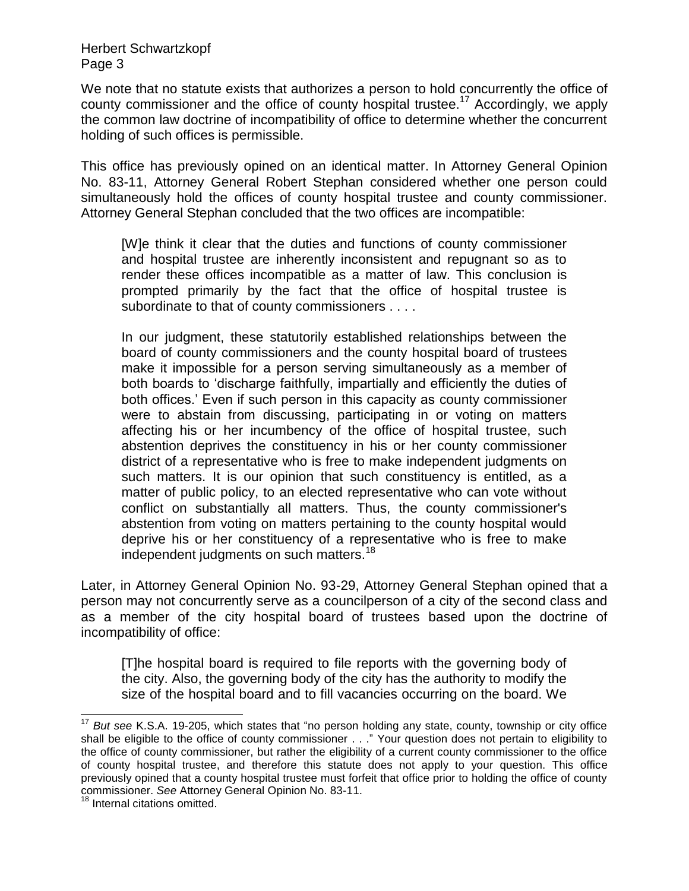We note that no statute exists that authorizes a person to hold concurrently the office of county commissioner and the office of county hospital trustee.<sup>17</sup> Accordingly, we apply the common law doctrine of incompatibility of office to determine whether the concurrent holding of such offices is permissible.

This office has previously opined on an identical matter. In Attorney General Opinion No. 83-11, Attorney General Robert Stephan considered whether one person could simultaneously hold the offices of county hospital trustee and county commissioner. Attorney General Stephan concluded that the two offices are incompatible:

[W]e think it clear that the duties and functions of county commissioner and hospital trustee are inherently inconsistent and repugnant so as to render these offices incompatible as a matter of law. This conclusion is prompted primarily by the fact that the office of hospital trustee is subordinate to that of county commissioners . . . .

In our judgment, these statutorily established relationships between the board of county commissioners and the county hospital board of trustees make it impossible for a person serving simultaneously as a member of both boards to "discharge faithfully, impartially and efficiently the duties of both offices." Even if such person in this capacity as county commissioner were to abstain from discussing, participating in or voting on matters affecting his or her incumbency of the office of hospital trustee, such abstention deprives the constituency in his or her county commissioner district of a representative who is free to make independent judgments on such matters. It is our opinion that such constituency is entitled, as a matter of public policy, to an elected representative who can vote without conflict on substantially all matters. Thus, the county commissioner's abstention from voting on matters pertaining to the county hospital would deprive his or her constituency of a representative who is free to make independent judgments on such matters.<sup>18</sup>

Later, in Attorney General Opinion No. 93-29, Attorney General Stephan opined that a person may not concurrently serve as a councilperson of a city of the second class and as a member of the city hospital board of trustees based upon the doctrine of incompatibility of office:

[T]he hospital board is required to file reports with the governing body of the city. Also, the governing body of the city has the authority to modify the size of the hospital board and to fill vacancies occurring on the board. We

 $\overline{\phantom{a}}$ <sup>17</sup> *But see* K.S.A. 19-205, which states that "no person holding any state, county, township or city office shall be eligible to the office of county commissioner . . ." Your question does not pertain to eligibility to the office of county commissioner, but rather the eligibility of a current county commissioner to the office of county hospital trustee, and therefore this statute does not apply to your question. This office previously opined that a county hospital trustee must forfeit that office prior to holding the office of county commissioner. *See* Attorney General Opinion No. 83-11.

<sup>&</sup>lt;sup>18</sup> Internal citations omitted.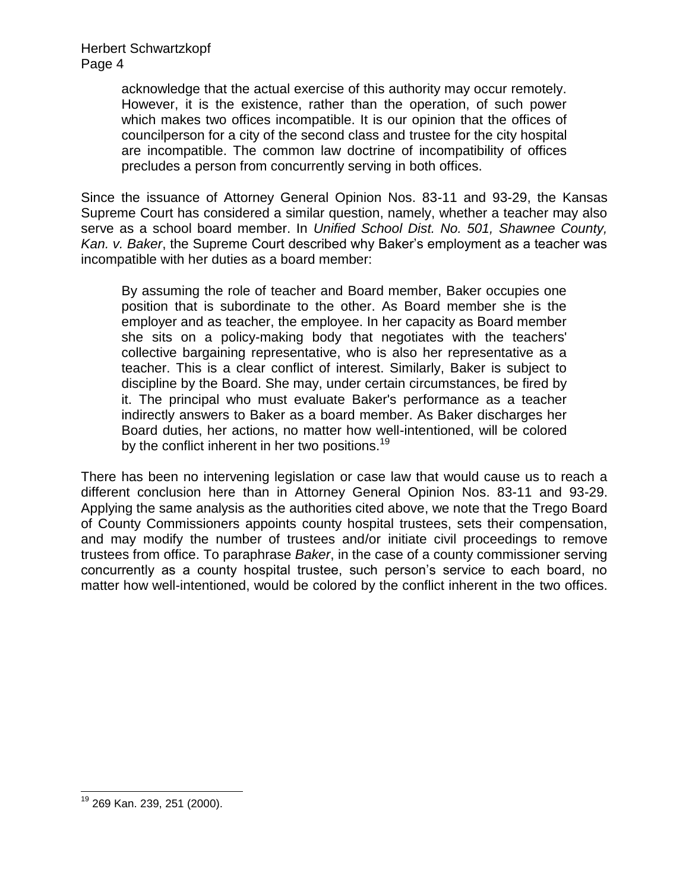> acknowledge that the actual exercise of this authority may occur remotely. However, it is the existence, rather than the operation, of such power which makes two offices incompatible. It is our opinion that the offices of councilperson for a city of the second class and trustee for the city hospital are incompatible. The common law doctrine of incompatibility of offices precludes a person from concurrently serving in both offices.

Since the issuance of Attorney General Opinion Nos. 83-11 and 93-29, the Kansas Supreme Court has considered a similar question, namely, whether a teacher may also serve as a school board member. In *Unified School Dist. No. 501, Shawnee County, Kan. v. Baker*, the Supreme Court described why Baker"s employment as a teacher was incompatible with her duties as a board member:

By assuming the role of teacher and Board member, Baker occupies one position that is subordinate to the other. As Board member she is the employer and as teacher, the employee. In her capacity as Board member she sits on a policy-making body that negotiates with the teachers' collective bargaining representative, who is also her representative as a teacher. This is a clear conflict of interest. Similarly, Baker is subject to discipline by the Board. She may, under certain circumstances, be fired by it. The principal who must evaluate Baker's performance as a teacher indirectly answers to Baker as a board member. As Baker discharges her Board duties, her actions, no matter how well-intentioned, will be colored by the conflict inherent in her two positions.<sup>19</sup>

There has been no intervening legislation or case law that would cause us to reach a different conclusion here than in Attorney General Opinion Nos. 83-11 and 93-29. Applying the same analysis as the authorities cited above, we note that the Trego Board of County Commissioners appoints county hospital trustees, sets their compensation, and may modify the number of trustees and/or initiate civil proceedings to remove trustees from office. To paraphrase *Baker*, in the case of a county commissioner serving concurrently as a county hospital trustee, such person"s service to each board, no matter how well-intentioned, would be colored by the conflict inherent in the two offices.

l

<sup>&</sup>lt;sup>19</sup> 269 Kan. 239, 251 (2000).